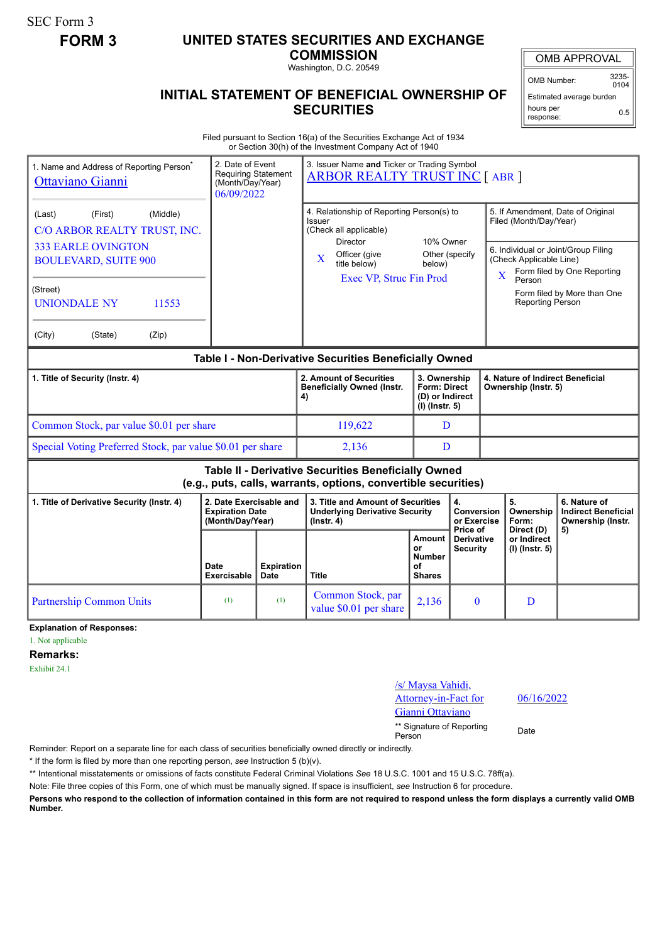SEC Form 3

## **FORM 3 UNITED STATES SECURITIES AND EXCHANGE**

**COMMISSION**

Washington, D.C. 20549

## **INITIAL STATEMENT OF BENEFICIAL OWNERSHIP OF SECURITIES**

OMB APPROVAL

OMB Number: 3235-  $0104$ 

Estimated average burden hours per response: 0.5

Filed pursuant to Section 16(a) of the Securities Exchange Act of 1934 or Section 30(h) of the Investment Company Act of 1940

| 1. Name and Address of Reporting Person <sup>®</sup><br>Ottaviano Gianni                                              | 3. Issuer Name and Ticker or Trading Symbol<br>2. Date of Event<br><b>Requiring Statement</b><br><b>ARBOR REALTY TRUST INC [ABR ]</b><br>(Month/Day/Year)<br>06/09/2022 |                                  |                                                                                                |                                                                   |                                                  |                                                                                                                                    |                                             |                                                                 |
|-----------------------------------------------------------------------------------------------------------------------|-------------------------------------------------------------------------------------------------------------------------------------------------------------------------|----------------------------------|------------------------------------------------------------------------------------------------|-------------------------------------------------------------------|--------------------------------------------------|------------------------------------------------------------------------------------------------------------------------------------|---------------------------------------------|-----------------------------------------------------------------|
| (Middle)<br>(Last)<br>(First)<br>C/O ARBOR REALTY TRUST, INC.                                                         |                                                                                                                                                                         |                                  | 4. Relationship of Reporting Person(s) to<br>Issuer<br>(Check all applicable)                  |                                                                   |                                                  | 5. If Amendment, Date of Original<br>Filed (Month/Day/Year)                                                                        |                                             |                                                                 |
| <b>333 EARLE OVINGTON</b><br><b>BOULEVARD, SUITE 900</b>                                                              |                                                                                                                                                                         |                                  | <b>Director</b><br>Officer (give<br>$\mathbf X$<br>title below)<br>Exec VP, Struc Fin Prod     | 10% Owner<br>Other (specify<br>below)                             |                                                  | 6. Individual or Joint/Group Filing<br>(Check Applicable Line)<br>Form filed by One Reporting<br>$\overline{\mathbf{X}}$<br>Person |                                             |                                                                 |
| (Street)<br><b>UNIONDALE NY</b><br>11553                                                                              |                                                                                                                                                                         |                                  |                                                                                                |                                                                   |                                                  | Form filed by More than One<br>Reporting Person                                                                                    |                                             |                                                                 |
| (City)<br>(State)<br>(Zip)                                                                                            |                                                                                                                                                                         |                                  |                                                                                                |                                                                   |                                                  |                                                                                                                                    |                                             |                                                                 |
| Table I - Non-Derivative Securities Beneficially Owned                                                                |                                                                                                                                                                         |                                  |                                                                                                |                                                                   |                                                  |                                                                                                                                    |                                             |                                                                 |
| 1. Title of Security (Instr. 4)                                                                                       |                                                                                                                                                                         |                                  | 2. Amount of Securities<br><b>Beneficially Owned (Instr.</b><br>4)                             | 3. Ownership<br>Form: Direct<br>(D) or Indirect<br>(I) (Instr. 5) |                                                  | 4. Nature of Indirect Beneficial<br>Ownership (Instr. 5)                                                                           |                                             |                                                                 |
| Common Stock, par value \$0.01 per share                                                                              |                                                                                                                                                                         |                                  | 119,622                                                                                        |                                                                   | D                                                |                                                                                                                                    |                                             |                                                                 |
| Special Voting Preferred Stock, par value \$0.01 per share                                                            |                                                                                                                                                                         |                                  | 2.136                                                                                          | D                                                                 |                                                  |                                                                                                                                    |                                             |                                                                 |
| Table II - Derivative Securities Beneficially Owned<br>(e.g., puts, calls, warrants, options, convertible securities) |                                                                                                                                                                         |                                  |                                                                                                |                                                                   |                                                  |                                                                                                                                    |                                             |                                                                 |
| 1. Title of Derivative Security (Instr. 4)                                                                            | 2. Date Exercisable and<br><b>Expiration Date</b><br>(Month/Day/Year)                                                                                                   |                                  | 3. Title and Amount of Securities<br><b>Underlying Derivative Security</b><br>$($ lnstr. 4 $)$ | 4.<br>Conversion<br>or Exercise                                   |                                                  |                                                                                                                                    | 5.<br>Ownership<br>Form:                    | 6. Nature of<br><b>Indirect Beneficial</b><br>Ownership (Instr. |
|                                                                                                                       | Date<br>Exercisable                                                                                                                                                     | <b>Expiration</b><br><b>Date</b> | <b>Title</b>                                                                                   | Amount<br>or<br><b>Number</b><br>οf<br><b>Shares</b>              | Price of<br><b>Derivative</b><br><b>Security</b> |                                                                                                                                    | Direct (D)<br>or Indirect<br>(I) (Instr. 5) | 5)                                                              |
| <b>Partnership Common Units</b>                                                                                       | (1)                                                                                                                                                                     | (1)                              | Common Stock, par<br>value \$0.01 per share                                                    | 2,136                                                             | $\mathbf{0}$                                     |                                                                                                                                    | D                                           |                                                                 |

**Explanation of Responses:**

1. Not applicable

**Remarks:**

Exhibit 24.1

/s/ Maysa Vahidi, Attorney-in-Fact for Gianni Ottaviano

06/16/2022

\*\* Signature of Reporting <sub>Date</sub><br>Person

Reminder: Report on a separate line for each class of securities beneficially owned directly or indirectly.

\* If the form is filed by more than one reporting person, *see* Instruction 5 (b)(v).

\*\* Intentional misstatements or omissions of facts constitute Federal Criminal Violations *See* 18 U.S.C. 1001 and 15 U.S.C. 78ff(a).

Note: File three copies of this Form, one of which must be manually signed. If space is insufficient, *see* Instruction 6 for procedure.

**Persons who respond to the collection of information contained in this form are not required to respond unless the form displays a currently valid OMB Number.**